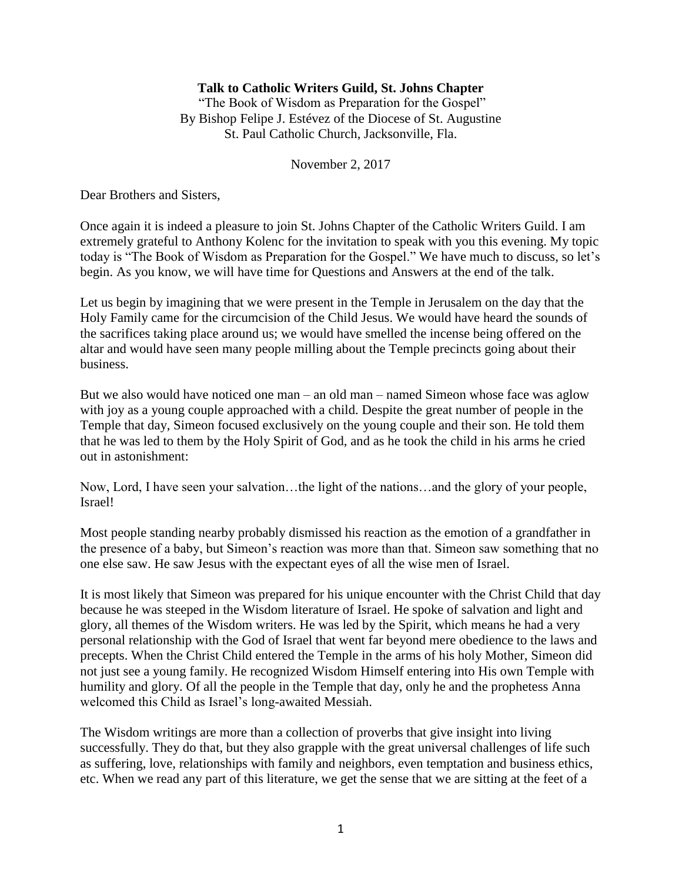## **Talk to Catholic Writers Guild, St. Johns Chapter**

"The Book of Wisdom as Preparation for the Gospel" By Bishop Felipe J. Estévez of the Diocese of St. Augustine St. Paul Catholic Church, Jacksonville, Fla.

November 2, 2017

Dear Brothers and Sisters,

Once again it is indeed a pleasure to join St. Johns Chapter of the Catholic Writers Guild. I am extremely grateful to Anthony Kolenc for the invitation to speak with you this evening. My topic today is "The Book of Wisdom as Preparation for the Gospel." We have much to discuss, so let's begin. As you know, we will have time for Questions and Answers at the end of the talk.

Let us begin by imagining that we were present in the Temple in Jerusalem on the day that the Holy Family came for the circumcision of the Child Jesus. We would have heard the sounds of the sacrifices taking place around us; we would have smelled the incense being offered on the altar and would have seen many people milling about the Temple precincts going about their business.

But we also would have noticed one man – an old man – named Simeon whose face was aglow with joy as a young couple approached with a child. Despite the great number of people in the Temple that day, Simeon focused exclusively on the young couple and their son. He told them that he was led to them by the Holy Spirit of God, and as he took the child in his arms he cried out in astonishment:

Now, Lord, I have seen your salvation…the light of the nations…and the glory of your people, Israel!

Most people standing nearby probably dismissed his reaction as the emotion of a grandfather in the presence of a baby, but Simeon's reaction was more than that. Simeon saw something that no one else saw. He saw Jesus with the expectant eyes of all the wise men of Israel.

It is most likely that Simeon was prepared for his unique encounter with the Christ Child that day because he was steeped in the Wisdom literature of Israel. He spoke of salvation and light and glory, all themes of the Wisdom writers. He was led by the Spirit, which means he had a very personal relationship with the God of Israel that went far beyond mere obedience to the laws and precepts. When the Christ Child entered the Temple in the arms of his holy Mother, Simeon did not just see a young family. He recognized Wisdom Himself entering into His own Temple with humility and glory. Of all the people in the Temple that day, only he and the prophetess Anna welcomed this Child as Israel's long-awaited Messiah.

The Wisdom writings are more than a collection of proverbs that give insight into living successfully. They do that, but they also grapple with the great universal challenges of life such as suffering, love, relationships with family and neighbors, even temptation and business ethics, etc. When we read any part of this literature, we get the sense that we are sitting at the feet of a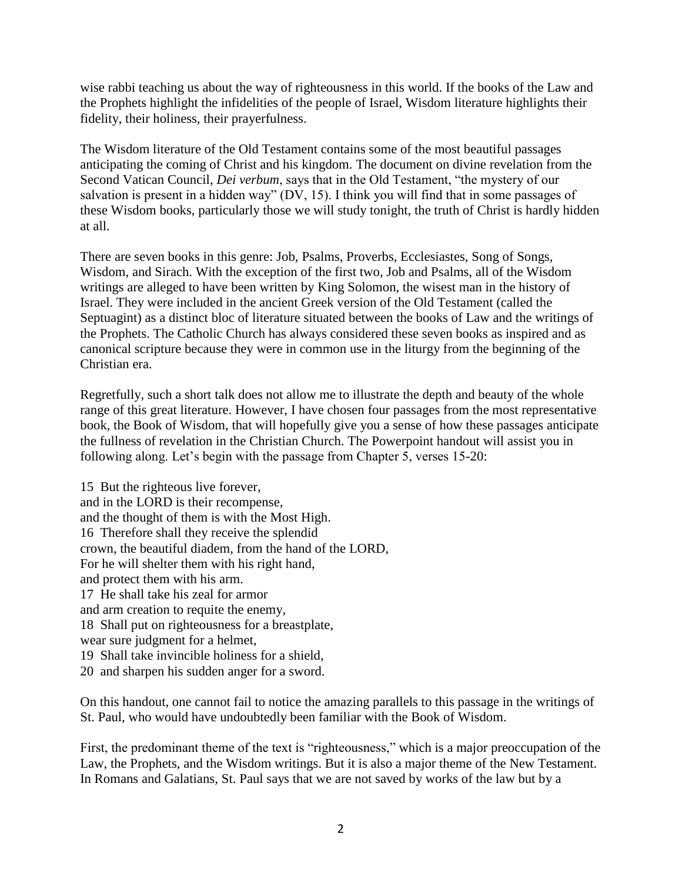wise rabbi teaching us about the way of righteousness in this world. If the books of the Law and the Prophets highlight the infidelities of the people of Israel, Wisdom literature highlights their fidelity, their holiness, their prayerfulness.

The Wisdom literature of the Old Testament contains some of the most beautiful passages anticipating the coming of Christ and his kingdom. The document on divine revelation from the Second Vatican Council, *Dei verbum*, says that in the Old Testament, "the mystery of our salvation is present in a hidden way" (DV, 15). I think you will find that in some passages of these Wisdom books, particularly those we will study tonight, the truth of Christ is hardly hidden at all.

There are seven books in this genre: Job, Psalms, Proverbs, Ecclesiastes, Song of Songs, Wisdom, and Sirach. With the exception of the first two, Job and Psalms, all of the Wisdom writings are alleged to have been written by King Solomon, the wisest man in the history of Israel. They were included in the ancient Greek version of the Old Testament (called the Septuagint) as a distinct bloc of literature situated between the books of Law and the writings of the Prophets. The Catholic Church has always considered these seven books as inspired and as canonical scripture because they were in common use in the liturgy from the beginning of the Christian era.

Regretfully, such a short talk does not allow me to illustrate the depth and beauty of the whole range of this great literature. However, I have chosen four passages from the most representative book, the Book of Wisdom, that will hopefully give you a sense of how these passages anticipate the fullness of revelation in the Christian Church. The Powerpoint handout will assist you in following along. Let's begin with the passage from Chapter 5, verses 15-20:

15 But the righteous live forever, and in the LORD is their recompense, and the thought of them is with the Most High. 16 Therefore shall they receive the splendid crown, the beautiful diadem, from the hand of the LORD, For he will shelter them with his right hand, and protect them with his arm. 17 He shall take his zeal for armor and arm creation to requite the enemy, 18 Shall put on righteousness for a breastplate, wear sure judgment for a helmet, 19 Shall take invincible holiness for a shield, 20 and sharpen his sudden anger for a sword.

On this handout, one cannot fail to notice the amazing parallels to this passage in the writings of St. Paul, who would have undoubtedly been familiar with the Book of Wisdom.

First, the predominant theme of the text is "righteousness," which is a major preoccupation of the Law, the Prophets, and the Wisdom writings. But it is also a major theme of the New Testament. In Romans and Galatians, St. Paul says that we are not saved by works of the law but by a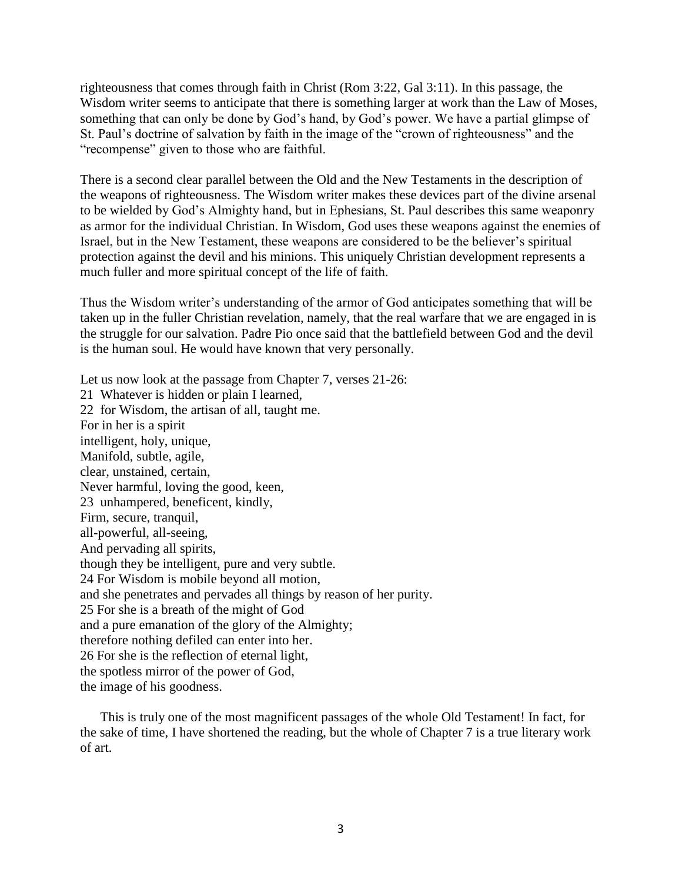righteousness that comes through faith in Christ (Rom 3:22, Gal 3:11). In this passage, the Wisdom writer seems to anticipate that there is something larger at work than the Law of Moses, something that can only be done by God's hand, by God's power. We have a partial glimpse of St. Paul's doctrine of salvation by faith in the image of the "crown of righteousness" and the "recompense" given to those who are faithful.

There is a second clear parallel between the Old and the New Testaments in the description of the weapons of righteousness. The Wisdom writer makes these devices part of the divine arsenal to be wielded by God's Almighty hand, but in Ephesians, St. Paul describes this same weaponry as armor for the individual Christian. In Wisdom, God uses these weapons against the enemies of Israel, but in the New Testament, these weapons are considered to be the believer's spiritual protection against the devil and his minions. This uniquely Christian development represents a much fuller and more spiritual concept of the life of faith.

Thus the Wisdom writer's understanding of the armor of God anticipates something that will be taken up in the fuller Christian revelation, namely, that the real warfare that we are engaged in is the struggle for our salvation. Padre Pio once said that the battlefield between God and the devil is the human soul. He would have known that very personally.

Let us now look at the passage from Chapter 7, verses 21-26: 21 Whatever is hidden or plain I learned, 22 for Wisdom, the artisan of all, taught me. For in her is a spirit intelligent, holy, unique, Manifold, subtle, agile, clear, unstained, certain, Never harmful, loving the good, keen, 23 unhampered, beneficent, kindly, Firm, secure, tranquil, all-powerful, all-seeing, And pervading all spirits, though they be intelligent, pure and very subtle. 24 For Wisdom is mobile beyond all motion, and she penetrates and pervades all things by reason of her purity. 25 For she is a breath of the might of God and a pure emanation of the glory of the Almighty; therefore nothing defiled can enter into her. 26 For she is the reflection of eternal light, the spotless mirror of the power of God, the image of his goodness.

This is truly one of the most magnificent passages of the whole Old Testament! In fact, for the sake of time, I have shortened the reading, but the whole of Chapter 7 is a true literary work of art.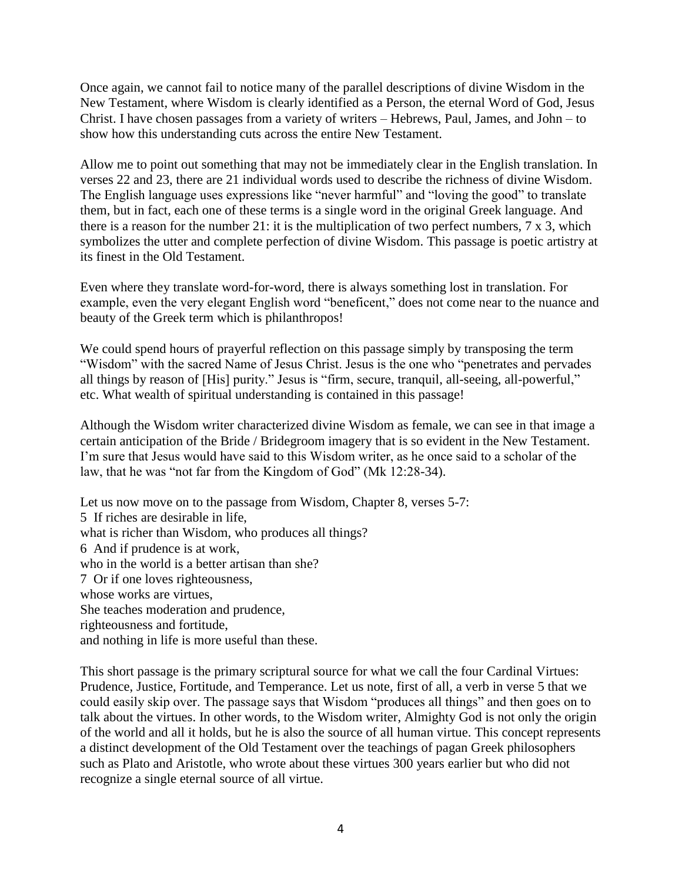Once again, we cannot fail to notice many of the parallel descriptions of divine Wisdom in the New Testament, where Wisdom is clearly identified as a Person, the eternal Word of God, Jesus Christ. I have chosen passages from a variety of writers – Hebrews, Paul, James, and John – to show how this understanding cuts across the entire New Testament.

Allow me to point out something that may not be immediately clear in the English translation. In verses 22 and 23, there are 21 individual words used to describe the richness of divine Wisdom. The English language uses expressions like "never harmful" and "loving the good" to translate them, but in fact, each one of these terms is a single word in the original Greek language. And there is a reason for the number 21: it is the multiplication of two perfect numbers, 7 x 3, which symbolizes the utter and complete perfection of divine Wisdom. This passage is poetic artistry at its finest in the Old Testament.

Even where they translate word-for-word, there is always something lost in translation. For example, even the very elegant English word "beneficent," does not come near to the nuance and beauty of the Greek term which is philanthropos!

We could spend hours of prayerful reflection on this passage simply by transposing the term "Wisdom" with the sacred Name of Jesus Christ. Jesus is the one who "penetrates and pervades all things by reason of [His] purity." Jesus is "firm, secure, tranquil, all-seeing, all-powerful," etc. What wealth of spiritual understanding is contained in this passage!

Although the Wisdom writer characterized divine Wisdom as female, we can see in that image a certain anticipation of the Bride / Bridegroom imagery that is so evident in the New Testament. I'm sure that Jesus would have said to this Wisdom writer, as he once said to a scholar of the law, that he was "not far from the Kingdom of God" (Mk 12:28-34).

Let us now move on to the passage from Wisdom, Chapter 8, verses 5-7: 5 If riches are desirable in life, what is richer than Wisdom, who produces all things? 6 And if prudence is at work, who in the world is a better artisan than she? 7 Or if one loves righteousness, whose works are virtues, She teaches moderation and prudence, righteousness and fortitude, and nothing in life is more useful than these.

This short passage is the primary scriptural source for what we call the four Cardinal Virtues: Prudence, Justice, Fortitude, and Temperance. Let us note, first of all, a verb in verse 5 that we could easily skip over. The passage says that Wisdom "produces all things" and then goes on to talk about the virtues. In other words, to the Wisdom writer, Almighty God is not only the origin of the world and all it holds, but he is also the source of all human virtue. This concept represents a distinct development of the Old Testament over the teachings of pagan Greek philosophers such as Plato and Aristotle, who wrote about these virtues 300 years earlier but who did not recognize a single eternal source of all virtue.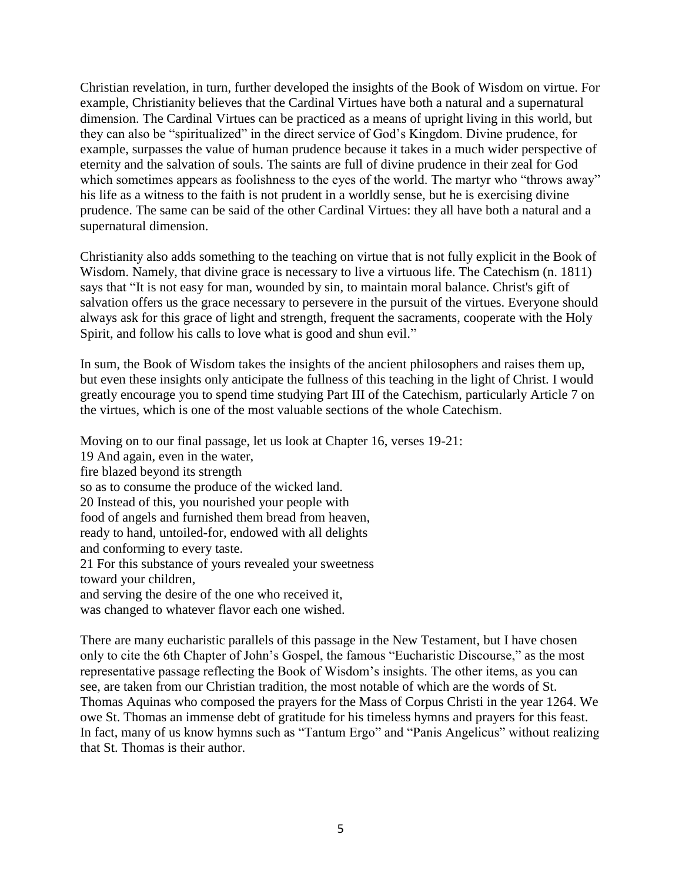Christian revelation, in turn, further developed the insights of the Book of Wisdom on virtue. For example, Christianity believes that the Cardinal Virtues have both a natural and a supernatural dimension. The Cardinal Virtues can be practiced as a means of upright living in this world, but they can also be "spiritualized" in the direct service of God's Kingdom. Divine prudence, for example, surpasses the value of human prudence because it takes in a much wider perspective of eternity and the salvation of souls. The saints are full of divine prudence in their zeal for God which sometimes appears as foolishness to the eyes of the world. The martyr who "throws away" his life as a witness to the faith is not prudent in a worldly sense, but he is exercising divine prudence. The same can be said of the other Cardinal Virtues: they all have both a natural and a supernatural dimension.

Christianity also adds something to the teaching on virtue that is not fully explicit in the Book of Wisdom. Namely, that divine grace is necessary to live a virtuous life. The Catechism (n. 1811) says that "It is not easy for man, wounded by sin, to maintain moral balance. Christ's gift of salvation offers us the grace necessary to persevere in the pursuit of the virtues. Everyone should always ask for this grace of light and strength, frequent the sacraments, cooperate with the Holy Spirit, and follow his calls to love what is good and shun evil."

In sum, the Book of Wisdom takes the insights of the ancient philosophers and raises them up, but even these insights only anticipate the fullness of this teaching in the light of Christ. I would greatly encourage you to spend time studying Part III of the Catechism, particularly Article 7 on the virtues, which is one of the most valuable sections of the whole Catechism.

Moving on to our final passage, let us look at Chapter 16, verses 19-21: 19 And again, even in the water, fire blazed beyond its strength so as to consume the produce of the wicked land. 20 Instead of this, you nourished your people with food of angels and furnished them bread from heaven, ready to hand, untoiled-for, endowed with all delights and conforming to every taste. 21 For this substance of yours revealed your sweetness toward your children, and serving the desire of the one who received it, was changed to whatever flavor each one wished.

There are many eucharistic parallels of this passage in the New Testament, but I have chosen only to cite the 6th Chapter of John's Gospel, the famous "Eucharistic Discourse," as the most representative passage reflecting the Book of Wisdom's insights. The other items, as you can see, are taken from our Christian tradition, the most notable of which are the words of St. Thomas Aquinas who composed the prayers for the Mass of Corpus Christi in the year 1264. We owe St. Thomas an immense debt of gratitude for his timeless hymns and prayers for this feast. In fact, many of us know hymns such as "Tantum Ergo" and "Panis Angelicus" without realizing that St. Thomas is their author.